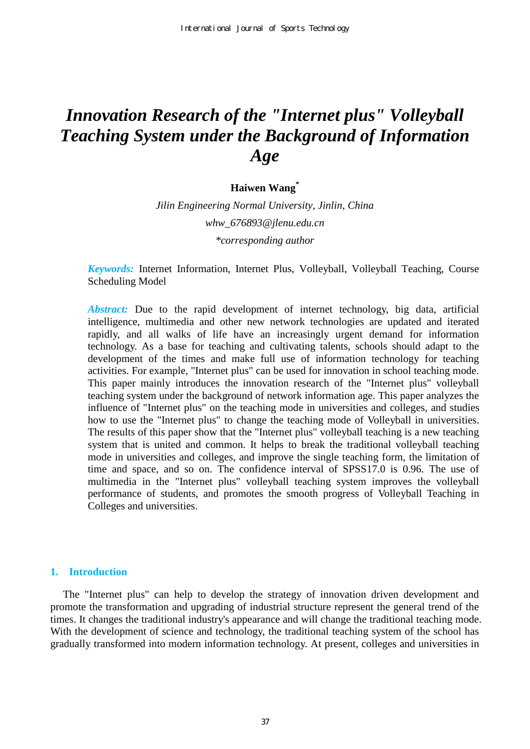# *Innovation Research of the "Internet plus" Volleyball Teaching System under the Background of Information Age*

# **Haiwen Wang\***

*Jilin Engineering Normal University, Jinlin, China whw\_676893@jlenu.edu.cn \*corresponding author* 

*Keywords:* Internet Information, Internet Plus, Volleyball, Volleyball Teaching, Course Scheduling Model

*Abstract:* Due to the rapid development of internet technology, big data, artificial intelligence, multimedia and other new network technologies are updated and iterated rapidly, and all walks of life have an increasingly urgent demand for information technology. As a base for teaching and cultivating talents, schools should adapt to the development of the times and make full use of information technology for teaching activities. For example, "Internet plus" can be used for innovation in school teaching mode. This paper mainly introduces the innovation research of the "Internet plus" volleyball teaching system under the background of network information age. This paper analyzes the influence of "Internet plus" on the teaching mode in universities and colleges, and studies how to use the "Internet plus" to change the teaching mode of Volleyball in universities. The results of this paper show that the "Internet plus" volleyball teaching is a new teaching system that is united and common. It helps to break the traditional volleyball teaching mode in universities and colleges, and improve the single teaching form, the limitation of time and space, and so on. The confidence interval of SPSS17.0 is 0.96. The use of multimedia in the "Internet plus" volleyball teaching system improves the volleyball performance of students, and promotes the smooth progress of Volleyball Teaching in Colleges and universities.

#### **1. Introduction**

The "Internet plus" can help to develop the strategy of innovation driven development and promote the transformation and upgrading of industrial structure represent the general trend of the times. It changes the traditional industry's appearance and will change the traditional teaching mode. With the development of science and technology, the traditional teaching system of the school has gradually transformed into modern information technology. At present, colleges and universities in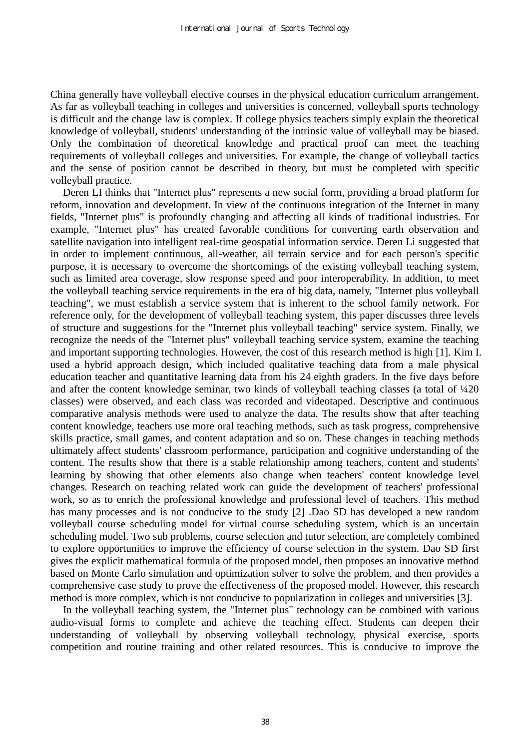China generally have volleyball elective courses in the physical education curriculum arrangement. As far as volleyball teaching in colleges and universities is concerned, volleyball sports technology is difficult and the change law is complex. If college physics teachers simply explain the theoretical knowledge of volleyball, students' understanding of the intrinsic value of volleyball may be biased. Only the combination of theoretical knowledge and practical proof can meet the teaching requirements of volleyball colleges and universities. For example, the change of volleyball tactics and the sense of position cannot be described in theory, but must be completed with specific volleyball practice.

Deren LI thinks that "Internet plus" represents a new social form, providing a broad platform for reform, innovation and development. In view of the continuous integration of the Internet in many fields, "Internet plus" is profoundly changing and affecting all kinds of traditional industries. For example, "Internet plus" has created favorable conditions for converting earth observation and satellite navigation into intelligent real-time geospatial information service. Deren Li suggested that in order to implement continuous, all-weather, all terrain service and for each person's specific purpose, it is necessary to overcome the shortcomings of the existing volleyball teaching system, such as limited area coverage, slow response speed and poor interoperability. In addition, to meet the volleyball teaching service requirements in the era of big data, namely, "Internet plus volleyball teaching", we must establish a service system that is inherent to the school family network. For reference only, for the development of volleyball teaching system, this paper discusses three levels of structure and suggestions for the "Internet plus volleyball teaching" service system. Finally, we recognize the needs of the "Internet plus" volleyball teaching service system, examine the teaching and important supporting technologies. However, the cost of this research method is high [1]. Kim I. used a hybrid approach design, which included qualitative teaching data from a male physical education teacher and quantitative learning data from his 24 eighth graders. In the five days before and after the content knowledge seminar, two kinds of volleyball teaching classes (a total of ¼20 classes) were observed, and each class was recorded and videotaped. Descriptive and continuous comparative analysis methods were used to analyze the data. The results show that after teaching content knowledge, teachers use more oral teaching methods, such as task progress, comprehensive skills practice, small games, and content adaptation and so on. These changes in teaching methods ultimately affect students' classroom performance, participation and cognitive understanding of the content. The results show that there is a stable relationship among teachers, content and students' learning by showing that other elements also change when teachers' content knowledge level changes. Research on teaching related work can guide the development of teachers' professional work, so as to enrich the professional knowledge and professional level of teachers. This method has many processes and is not conducive to the study [2] .Dao SD has developed a new random volleyball course scheduling model for virtual course scheduling system, which is an uncertain scheduling model. Two sub problems, course selection and tutor selection, are completely combined to explore opportunities to improve the efficiency of course selection in the system. Dao SD first gives the explicit mathematical formula of the proposed model, then proposes an innovative method based on Monte Carlo simulation and optimization solver to solve the problem, and then provides a comprehensive case study to prove the effectiveness of the proposed model. However, this research method is more complex, which is not conducive to popularization in colleges and universities [3].

In the volleyball teaching system, the "Internet plus" technology can be combined with various audio-visual forms to complete and achieve the teaching effect. Students can deepen their understanding of volleyball by observing volleyball technology, physical exercise, sports competition and routine training and other related resources. This is conducive to improve the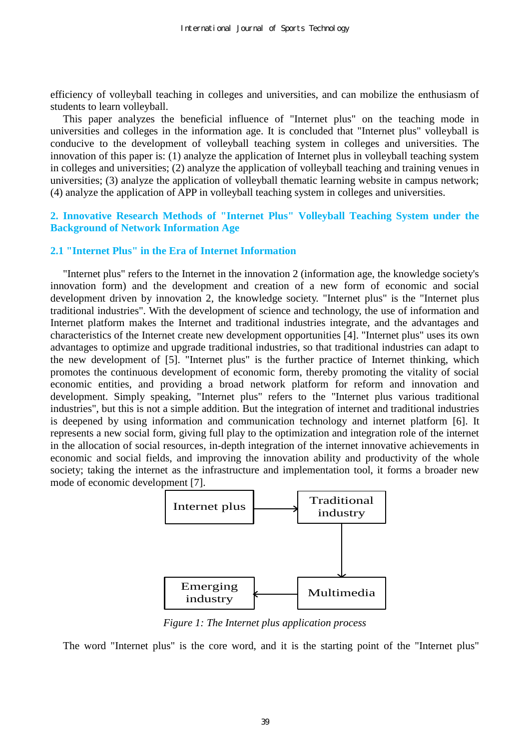efficiency of volleyball teaching in colleges and universities, and can mobilize the enthusiasm of students to learn volleyball.

This paper analyzes the beneficial influence of "Internet plus" on the teaching mode in universities and colleges in the information age. It is concluded that "Internet plus" volleyball is conducive to the development of volleyball teaching system in colleges and universities. The innovation of this paper is: (1) analyze the application of Internet plus in volleyball teaching system in colleges and universities; (2) analyze the application of volleyball teaching and training venues in universities; (3) analyze the application of volleyball thematic learning website in campus network; (4) analyze the application of APP in volleyball teaching system in colleges and universities.

## **2. Innovative Research Methods of "Internet Plus" Volleyball Teaching System under the Background of Network Information Age**

### **2.1 "Internet Plus" in the Era of Internet Information**

"Internet plus" refers to the Internet in the innovation 2 (information age, the knowledge society's innovation form) and the development and creation of a new form of economic and social development driven by innovation 2, the knowledge society. "Internet plus" is the "Internet plus traditional industries". With the development of science and technology, the use of information and Internet platform makes the Internet and traditional industries integrate, and the advantages and characteristics of the Internet create new development opportunities [4]. "Internet plus" uses its own advantages to optimize and upgrade traditional industries, so that traditional industries can adapt to the new development of [5]. "Internet plus" is the further practice of Internet thinking, which promotes the continuous development of economic form, thereby promoting the vitality of social economic entities, and providing a broad network platform for reform and innovation and development. Simply speaking, "Internet plus" refers to the "Internet plus various traditional industries", but this is not a simple addition. But the integration of internet and traditional industries is deepened by using information and communication technology and internet platform [6]. It represents a new social form, giving full play to the optimization and integration role of the internet in the allocation of social resources, in-depth integration of the internet innovative achievements in economic and social fields, and improving the innovation ability and productivity of the whole society; taking the internet as the infrastructure and implementation tool, it forms a broader new mode of economic development [7].



*Figure 1: The Internet plus application process* 

The word "Internet plus" is the core word, and it is the starting point of the "Internet plus"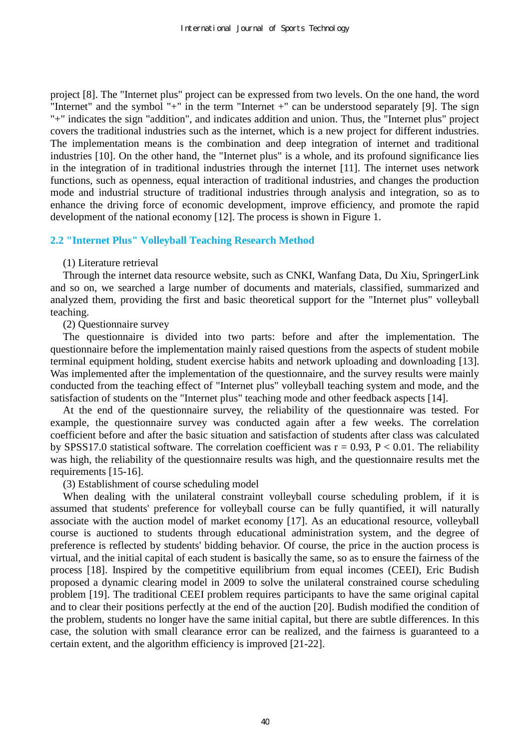project [8]. The "Internet plus" project can be expressed from two levels. On the one hand, the word "Internet" and the symbol "+" in the term "Internet +" can be understood separately [9]. The sign "+" indicates the sign "addition", and indicates addition and union. Thus, the "Internet plus" project covers the traditional industries such as the internet, which is a new project for different industries. The implementation means is the combination and deep integration of internet and traditional industries [10]. On the other hand, the "Internet plus" is a whole, and its profound significance lies in the integration of in traditional industries through the internet [11]. The internet uses network functions, such as openness, equal interaction of traditional industries, and changes the production mode and industrial structure of traditional industries through analysis and integration, so as to enhance the driving force of economic development, improve efficiency, and promote the rapid development of the national economy [12]. The process is shown in Figure 1.

## **2.2 "Internet Plus" Volleyball Teaching Research Method**

#### (1) Literature retrieval

Through the internet data resource website, such as CNKI, Wanfang Data, Du Xiu, SpringerLink and so on, we searched a large number of documents and materials, classified, summarized and analyzed them, providing the first and basic theoretical support for the "Internet plus" volleyball teaching.

(2) Questionnaire survey

The questionnaire is divided into two parts: before and after the implementation. The questionnaire before the implementation mainly raised questions from the aspects of student mobile terminal equipment holding, student exercise habits and network uploading and downloading [13]. Was implemented after the implementation of the questionnaire, and the survey results were mainly conducted from the teaching effect of "Internet plus" volleyball teaching system and mode, and the satisfaction of students on the "Internet plus" teaching mode and other feedback aspects [14].

At the end of the questionnaire survey, the reliability of the questionnaire was tested. For example, the questionnaire survey was conducted again after a few weeks. The correlation coefficient before and after the basic situation and satisfaction of students after class was calculated by SPSS17.0 statistical software. The correlation coefficient was  $r = 0.93$ ,  $P < 0.01$ . The reliability was high, the reliability of the questionnaire results was high, and the questionnaire results met the requirements [15-16].

#### (3) Establishment of course scheduling model

When dealing with the unilateral constraint volleyball course scheduling problem, if it is assumed that students' preference for volleyball course can be fully quantified, it will naturally associate with the auction model of market economy [17]. As an educational resource, volleyball course is auctioned to students through educational administration system, and the degree of preference is reflected by students' bidding behavior. Of course, the price in the auction process is virtual, and the initial capital of each student is basically the same, so as to ensure the fairness of the process [18]. Inspired by the competitive equilibrium from equal incomes (CEEI), Eric Budish proposed a dynamic clearing model in 2009 to solve the unilateral constrained course scheduling problem [19]. The traditional CEEI problem requires participants to have the same original capital and to clear their positions perfectly at the end of the auction [20]. Budish modified the condition of the problem, students no longer have the same initial capital, but there are subtle differences. In this case, the solution with small clearance error can be realized, and the fairness is guaranteed to a certain extent, and the algorithm efficiency is improved [21-22].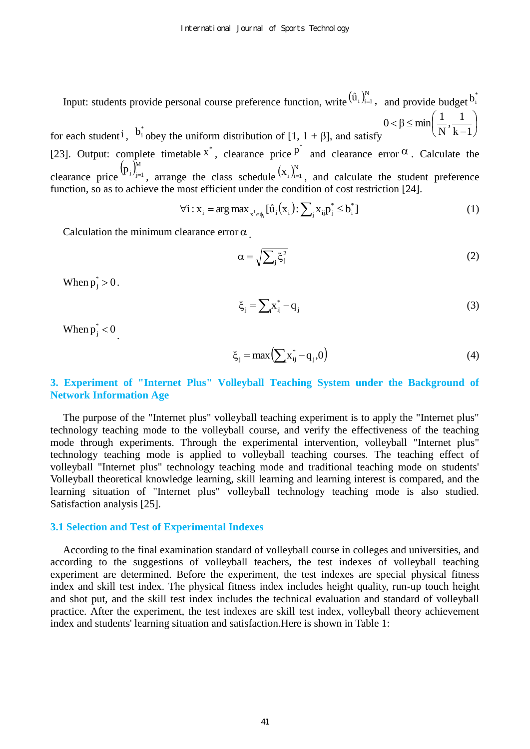Input: students provide personal course preference function, write  $(\hat{u}_i)_{i=1}^N$ , and provide budget  $b_i^*$ for each student<sup>i</sup>,  $b_i^*$  obey the uniform distribution of [1, 1 +  $\beta$ ], and satisfy  $\bigg)$  $\left(\frac{1}{\mathbf{v}}, \frac{1}{\mathbf{v}}\right)$  $\setminus$ ſ  $\overline{a}$  $< \beta \leq$  $k-1$  $\frac{1}{1}$ N  $0 < \beta \le \min\left(\frac{1}{\alpha}\right)$ [23]. Output: complete timetable  $x^*$ , clearance price  $p^*$  and clearance error  $\alpha$ [23]. Output: complete timetable  $x^*$ , clearance price  $p^*$  and clearance error  $\alpha$ . Calculate the

clearance price  $(p_j)_{j=1}^M$ , arrange the class schedule  $(x_i)_{i=1}^N$ , and calculate the student preference function, so as to achieve the most efficient under the condition of cost restriction [24].<br>  $\forall i: x_i = \arg \max_{x^i \in \phi_i} [\hat{u}_i(x_i): \sum_j x_{ij} p_j^* \leq b_i^*]$ 

$$
\forall i: x_{i} = \arg \max_{x^{i} \in \phi_{i}} [\hat{u}_{i}(x_{i}) : \sum_{j} x_{ij} p_{j}^{*} \leq b_{i}^{*}]
$$
\n(1)

Calculation the minimum clearance error  $\alpha$ .

$$
\alpha = \sqrt{\sum_{j} \xi_{j}^{2}}
$$
 (2)

When  $p_j^* > 0$ .

$$
\xi_j = \sum_i x_{ij}^* - q_j \tag{3}
$$

When  $p_j^* < 0$ .

$$
\xi_{j} = \max\left(\sum_{i} x_{ij}^{*} - q_{j}, 0\right)
$$
\n(4)

## **3. Experiment of "Internet Plus" Volleyball Teaching System under the Background of Network Information Age**

The purpose of the "Internet plus" volleyball teaching experiment is to apply the "Internet plus" technology teaching mode to the volleyball course, and verify the effectiveness of the teaching mode through experiments. Through the experimental intervention, volleyball "Internet plus" technology teaching mode is applied to volleyball teaching courses. The teaching effect of volleyball "Internet plus" technology teaching mode and traditional teaching mode on students' Volleyball theoretical knowledge learning, skill learning and learning interest is compared, and the learning situation of "Internet plus" volleyball technology teaching mode is also studied. Satisfaction analysis [25].

#### **3.1 Selection and Test of Experimental Indexes**

According to the final examination standard of volleyball course in colleges and universities, and according to the suggestions of volleyball teachers, the test indexes of volleyball teaching experiment are determined. Before the experiment, the test indexes are special physical fitness index and skill test index. The physical fitness index includes height quality, run-up touch height and shot put, and the skill test index includes the technical evaluation and standard of volleyball practice. After the experiment, the test indexes are skill test index, volleyball theory achievement index and students' learning situation and satisfaction.Here is shown in Table 1: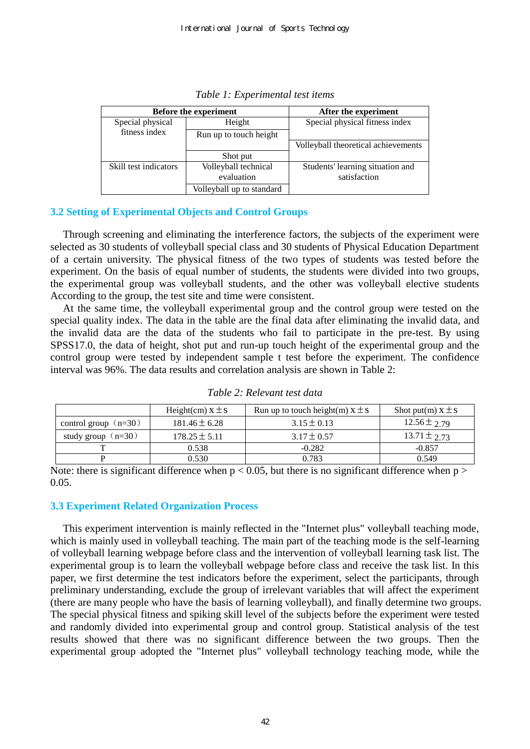| <b>Before the experiment</b> |                                    | After the experiment                             |  |
|------------------------------|------------------------------------|--------------------------------------------------|--|
| Special physical             | Height                             | Special physical fitness index                   |  |
| fitness index                | Run up to touch height             |                                                  |  |
|                              |                                    | Volleyball theoretical achievements              |  |
|                              | Shot put                           |                                                  |  |
| Skill test indicators        | Volleyball technical<br>evaluation | Students' learning situation and<br>satisfaction |  |
|                              | Volleyball up to standard          |                                                  |  |

*Table 1: Experimental test items* 

## **3.2 Setting of Experimental Objects and Control Groups**

Through screening and eliminating the interference factors, the subjects of the experiment were selected as 30 students of volleyball special class and 30 students of Physical Education Department of a certain university. The physical fitness of the two types of students was tested before the experiment. On the basis of equal number of students, the students were divided into two groups, the experimental group was volleyball students, and the other was volleyball elective students According to the group, the test site and time were consistent.

At the same time, the volleyball experimental group and the control group were tested on the special quality index. The data in the table are the final data after eliminating the invalid data, and the invalid data are the data of the students who fail to participate in the pre-test. By using SPSS17.0, the data of height, shot put and run-up touch height of the experimental group and the control group were tested by independent sample t test before the experiment. The confidence interval was 96%. The data results and correlation analysis are shown in Table 2:

|                        | Height(cm) $x \pm s$ | Run up to touch height(m) $x \pm s$ | Shot put(m) $x \pm s$ |
|------------------------|----------------------|-------------------------------------|-----------------------|
| control group $(n=30)$ | $181.46 \pm 6.28$    | $3.15 \pm 0.13$                     | $12.56 \pm 2.79$      |
| study group $(n=30)$   | $178.25 \pm 5.11$    | $3.17 \pm 0.57$                     | $13.71 \pm 2.73$      |
|                        | 0.538                | $-0.282$                            | $-0.857$              |
|                        | 0.530                | 0.783                               | 0.549                 |

*Table 2: Relevant test data* 

Note: there is significant difference when  $p < 0.05$ , but there is no significant difference when  $p >$ 0.05.

## **3.3 Experiment Related Organization Process**

This experiment intervention is mainly reflected in the "Internet plus" volleyball teaching mode, which is mainly used in volleyball teaching. The main part of the teaching mode is the self-learning of volleyball learning webpage before class and the intervention of volleyball learning task list. The experimental group is to learn the volleyball webpage before class and receive the task list. In this paper, we first determine the test indicators before the experiment, select the participants, through preliminary understanding, exclude the group of irrelevant variables that will affect the experiment (there are many people who have the basis of learning volleyball), and finally determine two groups. The special physical fitness and spiking skill level of the subjects before the experiment were tested and randomly divided into experimental group and control group. Statistical analysis of the test results showed that there was no significant difference between the two groups. Then the experimental group adopted the "Internet plus" volleyball technology teaching mode, while the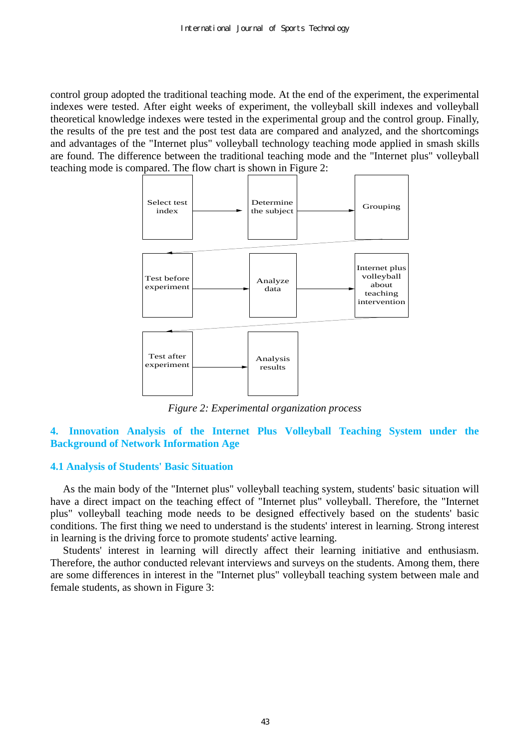control group adopted the traditional teaching mode. At the end of the experiment, the experimental indexes were tested. After eight weeks of experiment, the volleyball skill indexes and volleyball theoretical knowledge indexes were tested in the experimental group and the control group. Finally, the results of the pre test and the post test data are compared and analyzed, and the shortcomings and advantages of the "Internet plus" volleyball technology teaching mode applied in smash skills are found. The difference between the traditional teaching mode and the "Internet plus" volleyball teaching mode is compared. The flow chart is shown in Figure 2:



*Figure 2: Experimental organization process* 

## **4. Innovation Analysis of the Internet Plus Volleyball Teaching System under the Background of Network Information Age**

## **4.1 Analysis of Students' Basic Situation**

As the main body of the "Internet plus" volleyball teaching system, students' basic situation will have a direct impact on the teaching effect of "Internet plus" volleyball. Therefore, the "Internet plus" volleyball teaching mode needs to be designed effectively based on the students' basic conditions. The first thing we need to understand is the students' interest in learning. Strong interest in learning is the driving force to promote students' active learning.

Students' interest in learning will directly affect their learning initiative and enthusiasm. Therefore, the author conducted relevant interviews and surveys on the students. Among them, there are some differences in interest in the "Internet plus" volleyball teaching system between male and female students, as shown in Figure 3: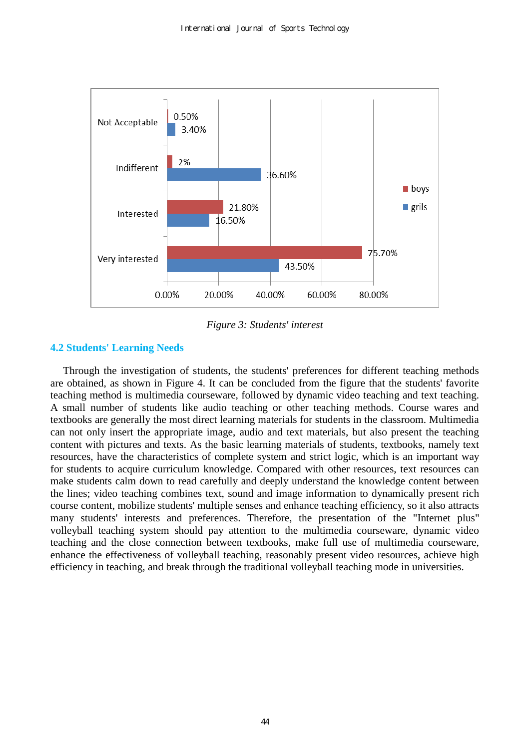

*Figure 3: Students' interest* 

# **4.2 Students' Learning Needs**

Through the investigation of students, the students' preferences for different teaching methods are obtained, as shown in Figure 4. It can be concluded from the figure that the students' favorite teaching method is multimedia courseware, followed by dynamic video teaching and text teaching. A small number of students like audio teaching or other teaching methods. Course wares and textbooks are generally the most direct learning materials for students in the classroom. Multimedia can not only insert the appropriate image, audio and text materials, but also present the teaching content with pictures and texts. As the basic learning materials of students, textbooks, namely text resources, have the characteristics of complete system and strict logic, which is an important way for students to acquire curriculum knowledge. Compared with other resources, text resources can make students calm down to read carefully and deeply understand the knowledge content between the lines; video teaching combines text, sound and image information to dynamically present rich course content, mobilize students' multiple senses and enhance teaching efficiency, so it also attracts many students' interests and preferences. Therefore, the presentation of the "Internet plus" volleyball teaching system should pay attention to the multimedia courseware, dynamic video teaching and the close connection between textbooks, make full use of multimedia courseware, enhance the effectiveness of volleyball teaching, reasonably present video resources, achieve high efficiency in teaching, and break through the traditional volleyball teaching mode in universities.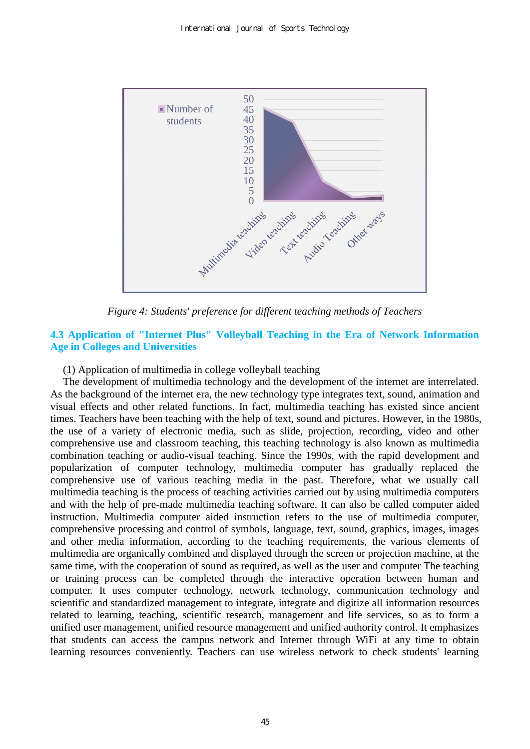

*Figure 4: Students' preference for different teaching methods of Teachers* 

## **4.3 Application of "Internet Plus" Volleyball Teaching in the Era of Network Information Age in Colleges and Universities**

(1) Application of multimedia in college volleyball teaching

The development of multimedia technology and the development of the internet are interrelated. As the background of the internet era, the new technology type integrates text, sound, animation and visual effects and other related functions. In fact, multimedia teaching has existed since ancient times. Teachers have been teaching with the help of text, sound and pictures. However, in the 1980s, the use of a variety of electronic media, such as slide, projection, recording, video and other comprehensive use and classroom teaching, this teaching technology is also known as multimedia combination teaching or audio-visual teaching. Since the 1990s, with the rapid development and popularization of computer technology, multimedia computer has gradually replaced the comprehensive use of various teaching media in the past. Therefore, what we usually call multimedia teaching is the process of teaching activities carried out by using multimedia computers and with the help of pre-made multimedia teaching software. It can also be called computer aided instruction. Multimedia computer aided instruction refers to the use of multimedia computer, comprehensive processing and control of symbols, language, text, sound, graphics, images, images and other media information, according to the teaching requirements, the various elements of multimedia are organically combined and displayed through the screen or projection machine, at the same time, with the cooperation of sound as required, as well as the user and computer The teaching or training process can be completed through the interactive operation between human and computer. It uses computer technology, network technology, communication technology and scientific and standardized management to integrate, integrate and digitize all information resources related to learning, teaching, scientific research, management and life services, so as to form a unified user management, unified resource management and unified authority control. It emphasizes that students can access the campus network and Internet through WiFi at any time to obtain learning resources conveniently. Teachers can use wireless network to check students' learning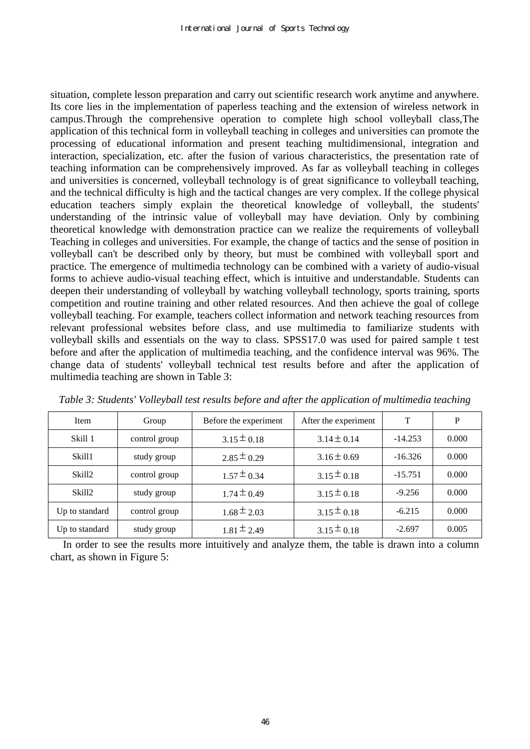situation, complete lesson preparation and carry out scientific research work anytime and anywhere. Its core lies in the implementation of paperless teaching and the extension of wireless network in campus.Through the comprehensive operation to complete high school volleyball class,The application of this technical form in volleyball teaching in colleges and universities can promote the processing of educational information and present teaching multidimensional, integration and interaction, specialization, etc. after the fusion of various characteristics, the presentation rate of teaching information can be comprehensively improved. As far as volleyball teaching in colleges and universities is concerned, volleyball technology is of great significance to volleyball teaching, and the technical difficulty is high and the tactical changes are very complex. If the college physical education teachers simply explain the theoretical knowledge of volleyball, the students' understanding of the intrinsic value of volleyball may have deviation. Only by combining theoretical knowledge with demonstration practice can we realize the requirements of volleyball Teaching in colleges and universities. For example, the change of tactics and the sense of position in volleyball can't be described only by theory, but must be combined with volleyball sport and practice. The emergence of multimedia technology can be combined with a variety of audio-visual forms to achieve audio-visual teaching effect, which is intuitive and understandable. Students can deepen their understanding of volleyball by watching volleyball technology, sports training, sports competition and routine training and other related resources. And then achieve the goal of college volleyball teaching. For example, teachers collect information and network teaching resources from relevant professional websites before class, and use multimedia to familiarize students with volleyball skills and essentials on the way to class. SPSS17.0 was used for paired sample t test before and after the application of multimedia teaching, and the confidence interval was 96%. The change data of students' volleyball technical test results before and after the application of multimedia teaching are shown in Table 3:

| Item               | Group         | Before the experiment | After the experiment | T         | P     |
|--------------------|---------------|-----------------------|----------------------|-----------|-------|
| Skill 1            | control group | $3.15 \pm 0.18$       | $3.14 \pm 0.14$      | $-14.253$ | 0.000 |
| Skill1             | study group   | $2.85 \pm 0.29$       | $3.16 \pm 0.69$      | $-16.326$ | 0.000 |
| Skill <sub>2</sub> | control group | $1.57 \pm 0.34$       | $3.15 \pm 0.18$      | $-15.751$ | 0.000 |
| Skill <sub>2</sub> | study group   | $1.74 \pm 0.49$       | $3.15 \pm 0.18$      | $-9.256$  | 0.000 |
| Up to standard     | control group | $1.68 \pm 2.03$       | $3.15 \pm 0.18$      | $-6.215$  | 0.000 |
| Up to standard     | study group   | $1.81 \pm 2.49$       | $3.15 \pm 0.18$      | $-2.697$  | 0.005 |

*Table 3: Students' Volleyball test results before and after the application of multimedia teaching* 

In order to see the results more intuitively and analyze them, the table is drawn into a column chart, as shown in Figure 5: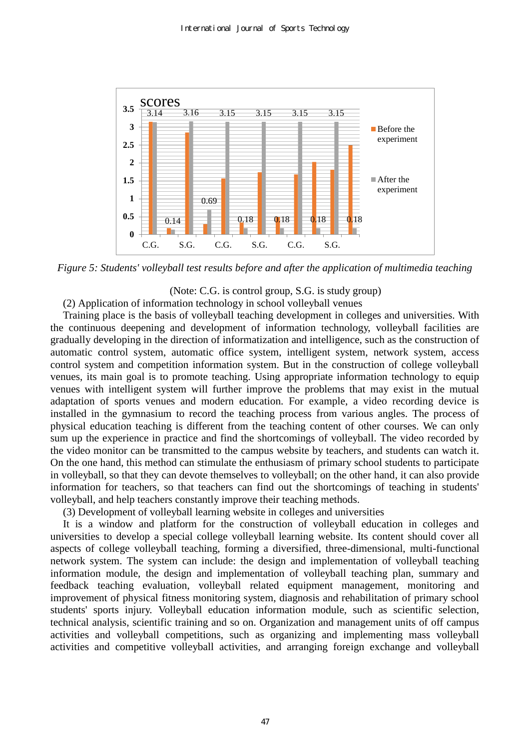

*Figure 5: Students' volleyball test results before and after the application of multimedia teaching* 

(Note: C.G. is control group, S.G. is study group)

(2) Application of information technology in school volleyball venues

Training place is the basis of volleyball teaching development in colleges and universities. With the continuous deepening and development of information technology, volleyball facilities are gradually developing in the direction of informatization and intelligence, such as the construction of automatic control system, automatic office system, intelligent system, network system, access control system and competition information system. But in the construction of college volleyball venues, its main goal is to promote teaching. Using appropriate information technology to equip venues with intelligent system will further improve the problems that may exist in the mutual adaptation of sports venues and modern education. For example, a video recording device is installed in the gymnasium to record the teaching process from various angles. The process of physical education teaching is different from the teaching content of other courses. We can only sum up the experience in practice and find the shortcomings of volleyball. The video recorded by the video monitor can be transmitted to the campus website by teachers, and students can watch it. On the one hand, this method can stimulate the enthusiasm of primary school students to participate in volleyball, so that they can devote themselves to volleyball; on the other hand, it can also provide information for teachers, so that teachers can find out the shortcomings of teaching in students' volleyball, and help teachers constantly improve their teaching methods.

(3) Development of volleyball learning website in colleges and universities

It is a window and platform for the construction of volleyball education in colleges and universities to develop a special college volleyball learning website. Its content should cover all aspects of college volleyball teaching, forming a diversified, three-dimensional, multi-functional network system. The system can include: the design and implementation of volleyball teaching information module, the design and implementation of volleyball teaching plan, summary and feedback teaching evaluation, volleyball related equipment management, monitoring and improvement of physical fitness monitoring system, diagnosis and rehabilitation of primary school students' sports injury. Volleyball education information module, such as scientific selection, technical analysis, scientific training and so on. Organization and management units of off campus activities and volleyball competitions, such as organizing and implementing mass volleyball activities and competitive volleyball activities, and arranging foreign exchange and volleyball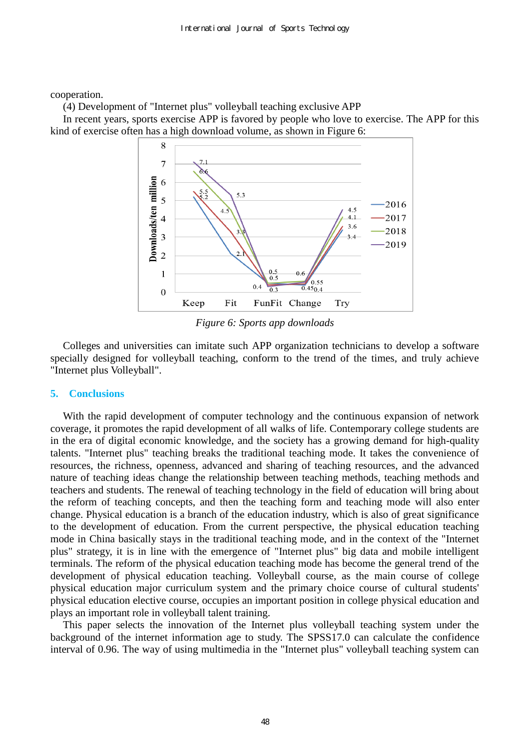cooperation.

(4) Development of "Internet plus" volleyball teaching exclusive APP

In recent years, sports exercise APP is favored by people who love to exercise. The APP for this kind of exercise often has a high download volume, as shown in Figure 6:



*Figure 6: Sports app downloads* 

Colleges and universities can imitate such APP organization technicians to develop a software specially designed for volleyball teaching, conform to the trend of the times, and truly achieve "Internet plus Volleyball".

#### **5. Conclusions**

With the rapid development of computer technology and the continuous expansion of network coverage, it promotes the rapid development of all walks of life. Contemporary college students are in the era of digital economic knowledge, and the society has a growing demand for high-quality talents. "Internet plus" teaching breaks the traditional teaching mode. It takes the convenience of resources, the richness, openness, advanced and sharing of teaching resources, and the advanced nature of teaching ideas change the relationship between teaching methods, teaching methods and teachers and students. The renewal of teaching technology in the field of education will bring about the reform of teaching concepts, and then the teaching form and teaching mode will also enter change. Physical education is a branch of the education industry, which is also of great significance to the development of education. From the current perspective, the physical education teaching mode in China basically stays in the traditional teaching mode, and in the context of the "Internet plus" strategy, it is in line with the emergence of "Internet plus" big data and mobile intelligent terminals. The reform of the physical education teaching mode has become the general trend of the development of physical education teaching. Volleyball course, as the main course of college physical education major curriculum system and the primary choice course of cultural students' physical education elective course, occupies an important position in college physical education and plays an important role in volleyball talent training.

This paper selects the innovation of the Internet plus volleyball teaching system under the background of the internet information age to study. The SPSS17.0 can calculate the confidence interval of 0.96. The way of using multimedia in the "Internet plus" volleyball teaching system can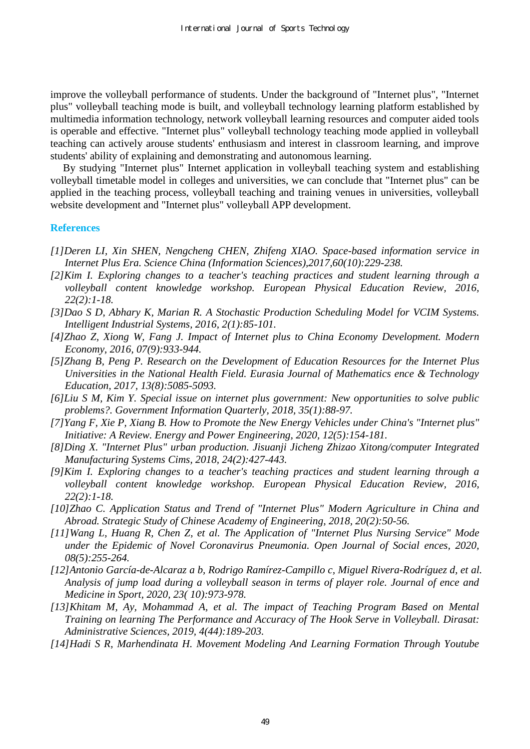improve the volleyball performance of students. Under the background of "Internet plus", "Internet plus" volleyball teaching mode is built, and volleyball technology learning platform established by multimedia information technology, network volleyball learning resources and computer aided tools is operable and effective. "Internet plus" volleyball technology teaching mode applied in volleyball teaching can actively arouse students' enthusiasm and interest in classroom learning, and improve students' ability of explaining and demonstrating and autonomous learning.

By studying "Internet plus" Internet application in volleyball teaching system and establishing volleyball timetable model in colleges and universities, we can conclude that "Internet plus" can be applied in the teaching process, volleyball teaching and training venues in universities, volleyball website development and "Internet plus" volleyball APP development.

#### **References**

- *[1]Deren LI, Xin SHEN, Nengcheng CHEN, Zhifeng XIAO. Space-based information service in Internet Plus Era. Science China (Information Sciences),2017,60(10):229-238.*
- *[2]Kim I. Exploring changes to a teacher's teaching practices and student learning through a volleyball content knowledge workshop. European Physical Education Review, 2016, 22(2):1-18.*
- *[3]Dao S D, Abhary K, Marian R. A Stochastic Production Scheduling Model for VCIM Systems. Intelligent Industrial Systems, 2016, 2(1):85-101.*
- *[4]Zhao Z, Xiong W, Fang J. Impact of Internet plus to China Economy Development. Modern Economy, 2016, 07(9):933-944.*
- *[5]Zhang B, Peng P. Research on the Development of Education Resources for the Internet Plus Universities in the National Health Field. Eurasia Journal of Mathematics ence & Technology Education, 2017, 13(8):5085-5093.*
- *[6]Liu S M, Kim Y. Special issue on internet plus government: New opportunities to solve public problems?. Government Information Quarterly, 2018, 35(1):88-97.*
- *[7]Yang F, Xie P, Xiang B. How to Promote the New Energy Vehicles under China's "Internet plus" Initiative: A Review. Energy and Power Engineering, 2020, 12(5):154-181.*
- *[8]Ding X. "Internet Plus" urban production. Jisuanji Jicheng Zhizao Xitong/computer Integrated Manufacturing Systems Cims, 2018, 24(2):427-443.*
- *[9]Kim I. Exploring changes to a teacher's teaching practices and student learning through a volleyball content knowledge workshop. European Physical Education Review, 2016, 22(2):1-18.*
- *[10]Zhao C. Application Status and Trend of "Internet Plus" Modern Agriculture in China and Abroad. Strategic Study of Chinese Academy of Engineering, 2018, 20(2):50-56.*
- *[11]Wang L, Huang R, Chen Z, et al. The Application of "Internet Plus Nursing Service" Mode under the Epidemic of Novel Coronavirus Pneumonia. Open Journal of Social ences, 2020, 08(5):255-264.*
- *[12]Antonio García-de-Alcaraz a b, Rodrigo Ramírez-Campillo c, Miguel Rivera-Rodríguez d, et al. Analysis of jump load during a volleyball season in terms of player role. Journal of ence and Medicine in Sport, 2020, 23( 10):973-978.*
- *[13]Khitam M, Ay, Mohammad A, et al. The impact of Teaching Program Based on Mental Training on learning The Performance and Accuracy of The Hook Serve in Volleyball. Dirasat: Administrative Sciences, 2019, 4(44):189-203.*
- *[14]Hadi S R, Marhendinata H. Movement Modeling And Learning Formation Through Youtube*